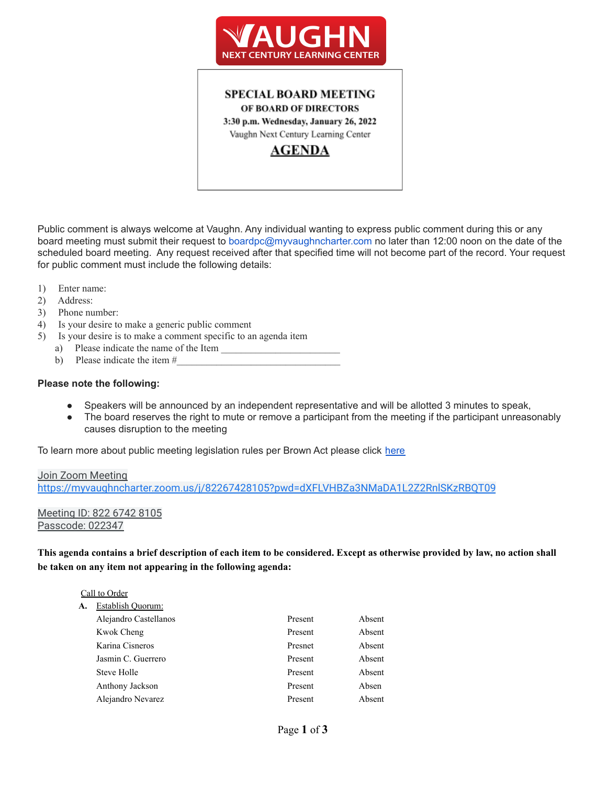

## **SPECIAL BOARD MEETING** OF BOARD OF DIRECTORS 3:30 p.m. Wednesday, January 26, 2022 Vaughn Next Century Learning Center **AGENDA**

Public comment is always welcome at Vaughn. Any individual wanting to express public comment during this or any board meeting must submit their request to boardpc@myvaughncharter.com no later than 12:00 noon on the date of the scheduled board meeting. Any request received after that specified time will not become part of the record. Your request for public comment must include the following details:

- 1) Enter name:
- 2) Address:
- 3) Phone number:
- 4) Is your desire to make a generic public comment
- 5) Is your desire is to make a comment specific to an agenda item
	- a) Please indicate the name of the Item
	- b) Please indicate the item  $#_2$

#### **Please note the following:**

- Speakers will be announced by an independent representative and will be allotted 3 minutes to speak,
- The board reserves the right to mute or remove a participant from the meeting if the participant unreasonably causes disruption to the meeting

To learn more about public meeting legislation rules per Brown Act please click [here](https://leginfo.legislature.ca.gov/faces/billTextClient.xhtml?bill_id=201520160AB1787)

### Join Zoom Meeting <https://myvaughncharter.zoom.us/j/82267428105?pwd=dXFLVHBZa3NMaDA1L2Z2RnlSKzRBQT09>

Meeting ID: 822 6742 8105 Passcode: 022347

This agenda contains a brief description of each item to be considered. Except as otherwise provided by law, no action shall **be taken on any item not appearing in the following agenda:**

|    | Call to Order         |         |        |
|----|-----------------------|---------|--------|
| A. | Establish Quorum:     |         |        |
|    | Alejandro Castellanos | Present | Absent |
|    | Kwok Cheng            | Present | Absent |
|    | Karina Cisneros       | Presnet | Absent |
|    | Jasmin C. Guerrero    | Present | Absent |
|    | Steve Holle           | Present | Absent |
|    | Anthony Jackson       | Present | Absen  |
|    | Alejandro Nevarez     | Present | Absent |
|    |                       |         |        |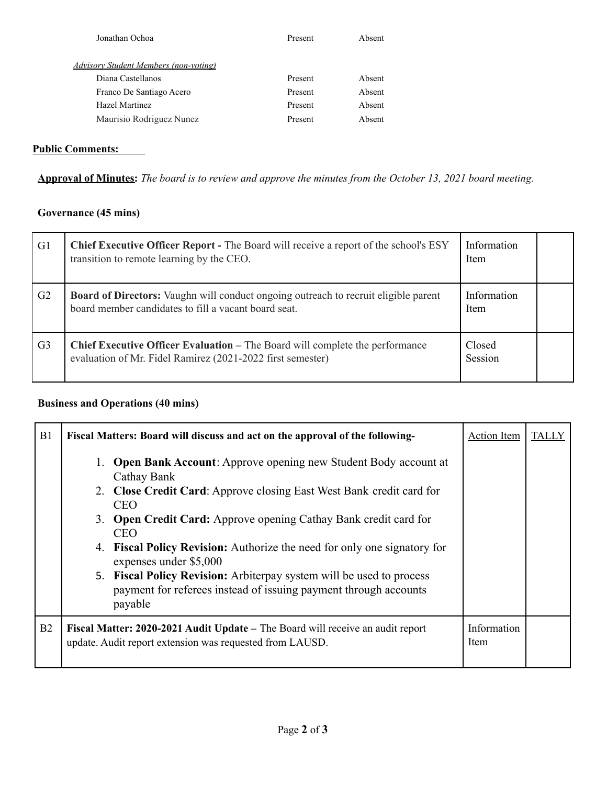| Jonathan Ochoa                               | Present | Absent |
|----------------------------------------------|---------|--------|
| <b>Advisory Student Members (non-voting)</b> |         |        |
| Diana Castellanos                            | Present | Absent |
| Franco De Santiago Acero                     | Present | Absent |
| Hazel Martinez                               | Present | Absent |
| Maurisio Rodriguez Nunez                     | Present | Absent |
|                                              |         |        |

## **Public Comments:**

Approval of Minutes: The board is to review and approve the minutes from the October 13, 2021 board meeting.

## **Governance (45 mins)**

| G <sub>1</sub> | <b>Chief Executive Officer Report -</b> The Board will receive a report of the school's ESY<br>transition to remote learning by the CEO.           | Information<br><b>Item</b> |  |
|----------------|----------------------------------------------------------------------------------------------------------------------------------------------------|----------------------------|--|
| G <sub>2</sub> | <b>Board of Directors:</b> Vaughn will conduct ongoing outreach to recruit eligible parent<br>board member candidates to fill a vacant board seat. | Information<br>Item        |  |
| G <sub>3</sub> | <b>Chief Executive Officer Evaluation – The Board will complete the performance</b><br>evaluation of Mr. Fidel Ramirez (2021-2022 first semester)  | Closed<br>Session          |  |

### **Business and Operations (40 mins)**

| B1 | Fiscal Matters: Board will discuss and act on the approval of the following-                                                                                  | <b>Action Item</b>  | TALLY |
|----|---------------------------------------------------------------------------------------------------------------------------------------------------------------|---------------------|-------|
|    | <b>Open Bank Account:</b> Approve opening new Student Body account at<br>Cathay Bank                                                                          |                     |       |
|    | 2. Close Credit Card: Approve closing East West Bank credit card for<br><b>CEO</b>                                                                            |                     |       |
|    | 3. Open Credit Card: Approve opening Cathay Bank credit card for<br><b>CEO</b>                                                                                |                     |       |
|    | <b>Fiscal Policy Revision:</b> Authorize the need for only one signatory for<br>4.<br>expenses under \$5,000                                                  |                     |       |
|    | <b>Fiscal Policy Revision:</b> Arbiterpay system will be used to process<br>5.<br>payment for referees instead of issuing payment through accounts<br>payable |                     |       |
| B2 | Fiscal Matter: 2020-2021 Audit Update – The Board will receive an audit report<br>update. Audit report extension was requested from LAUSD.                    | Information<br>Item |       |